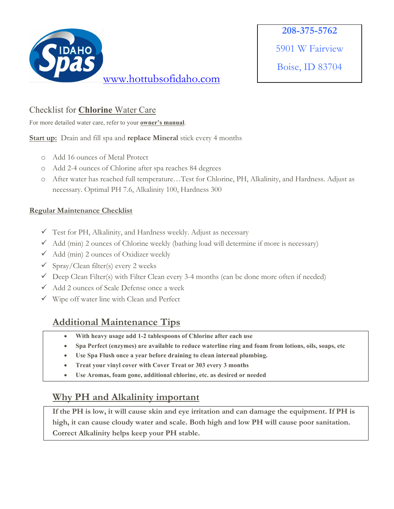

Boise, ID 83704

## Checklist for **Chlorine** Water Care

For more detailed water care, refer to your **owner's manual**.

**Start up:** Drain and fill spa and **replace Mineral** stick every 4 months

- o Add 16 ounces of Metal Protect
- o Add 2-4 ounces of Chlorine after spa reaches 84 degrees
- o After water has reached full temperature…Test for Chlorine, PH, Alkalinity, and Hardness. Adjust as necessary. Optimal PH 7.6, Alkalinity 100, Hardness 300

## **Regular Maintenance Checklist**

- $\checkmark$  Test for PH, Alkalinity, and Hardness weekly. Adjust as necessary
- $\checkmark$  Add (min) 2 ounces of Chlorine weekly (bathing load will determine if more is necessary)
- $\checkmark$  Add (min) 2 ounces of Oxidizer weekly
- $\checkmark$  Spray/Clean filter(s) every 2 weeks
- $\checkmark$  Deep Clean Filter(s) with Filter Clean every 3-4 months (can be done more often if needed)
- $\checkmark$  Add 2 ounces of Scale Defense once a week
- $\checkmark$  Wipe off water line with Clean and Perfect

## **Additional Maintenance Tips**

- **With heavy usage add 1-2 tablespoons of Chlorine after each use**
- **Spa Perfect (enzymes) are available to reduce waterline ring and foam from lotions, oils, soaps, etc**
- **Use Spa Flush once a year before draining to clean internal plumbing.**
- **Treat your vinyl cover with Cover Treat or 303 every 3 months**
- **Use Aromas, foam gone, additional chlorine, etc. as desired or needed**

## **Why PH and Alkalinity important**

**If the PH is low, it will cause skin and eye irritation and can damage the equipment. If PH is high, it can cause cloudy water and scale. Both high and low PH will cause poor sanitation. Correct Alkalinity helps keep your PH stable.**